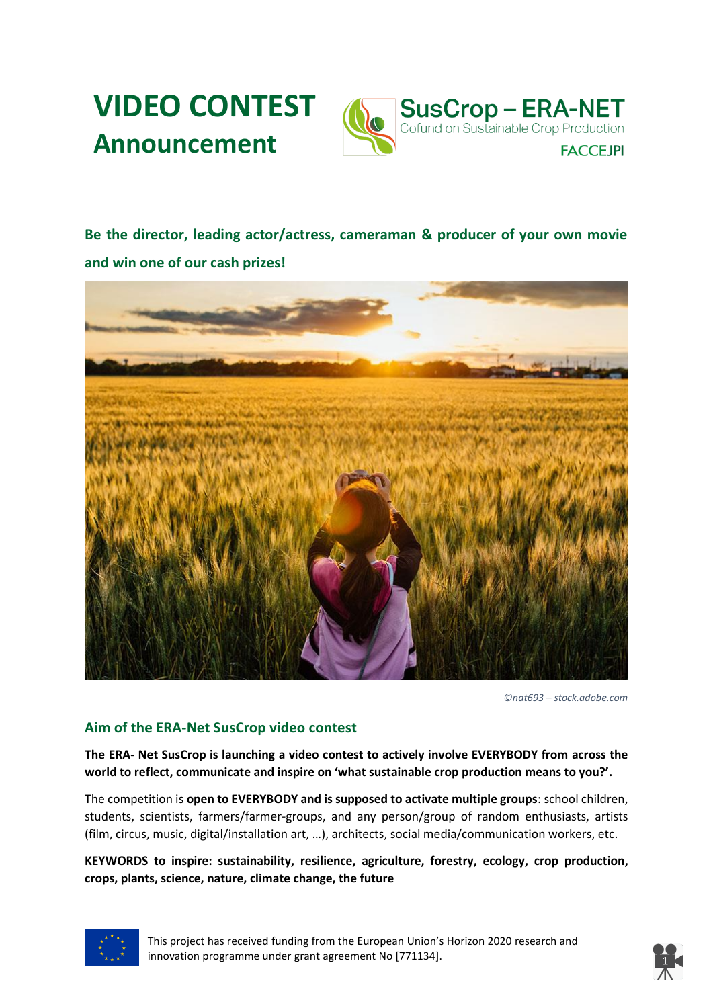



**Be the director, leading actor/actress, cameraman & producer of your own movie and win one of our cash prizes!**



*©nat693 – stock.adobe.com*

### **Aim of the ERA-Net SusCrop video contest**

**The ERA- Net SusCrop is launching a video contest to actively involve EVERYBODY from across the world to reflect, communicate and inspire on 'what sustainable crop production means to you?'.**

The competition is **open to EVERYBODY and is supposed to activate multiple groups**: school children, students, scientists, farmers/farmer-groups, and any person/group of random enthusiasts, artists (film, circus, music, digital/installation art, …), architects, social media/communication workers, etc.

**KEYWORDS to inspire: sustainability, resilience, agriculture, forestry, ecology, crop production, crops, plants, science, nature, climate change, the future**



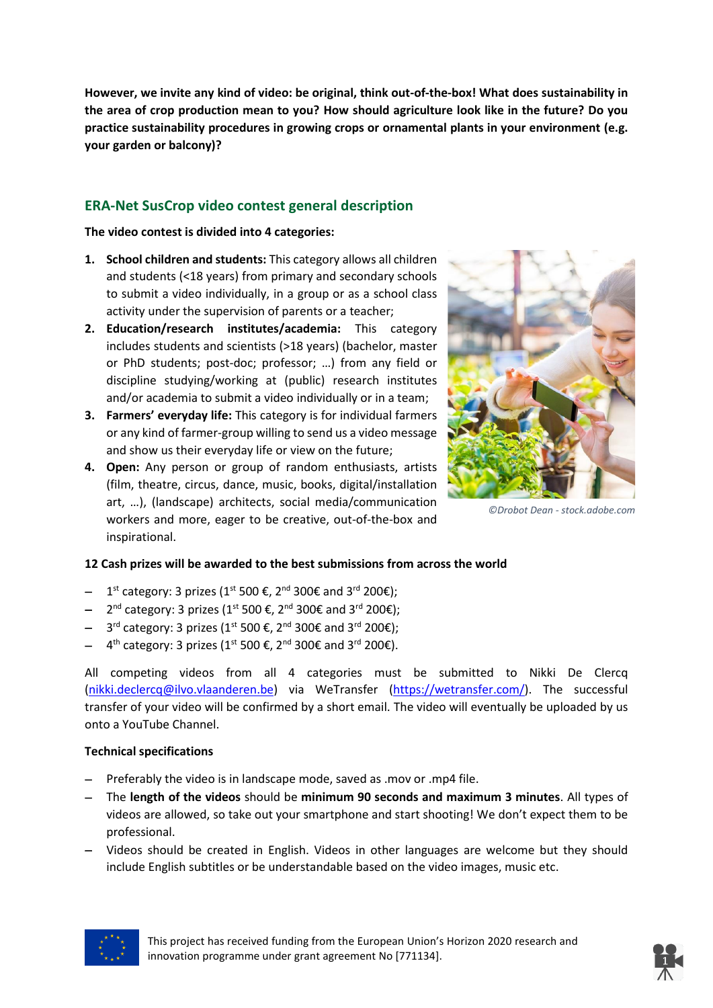**However, we invite any kind of video: be original, think out-of-the-box! What does sustainability in the area of crop production mean to you? How should agriculture look like in the future? Do you practice sustainability procedures in growing crops or ornamental plants in your environment (e.g. your garden or balcony)?**

## **ERA-Net SusCrop video contest general description**

**The video contest is divided into 4 categories:**

- **1. School children and students:** This category allows all children and students (<18 years) from primary and secondary schools to submit a video individually, in a group or as a school class activity under the supervision of parents or a teacher;
- **2. Education/research institutes/academia:** This category includes students and scientists (>18 years) (bachelor, master or PhD students; post-doc; professor; …) from any field or discipline studying/working at (public) research institutes and/or academia to submit a video individually or in a team;
- **3. Farmers' everyday life:** This category is for individual farmers or any kind of farmer-group willing to send us a video message and show us their everyday life or view on the future;
- **4. Open:** Any person or group of random enthusiasts, artists (film, theatre, circus, dance, music, books, digital/installation art, …), (landscape) architects, social media/communication workers and more, eager to be creative, out-of-the-box and inspirational.



*©Drobot Dean - stock.adobe.com*

#### **12 Cash prizes will be awarded to the best submissions from across the world**

- $-$  1<sup>st</sup> category: 3 prizes (1<sup>st</sup> 500 €, 2<sup>nd</sup> 300€ and 3<sup>rd</sup> 200€);
- 2<sup>nd</sup> category: 3 prizes (1<sup>st</sup> 500 €, 2<sup>nd</sup> 300€ and 3<sup>rd</sup> 200€);
- $-$  3<sup>rd</sup> category: 3 prizes (1<sup>st</sup> 500 €, 2<sup>nd</sup> 300€ and 3<sup>rd</sup> 200€);
- $-$  4<sup>th</sup> category: 3 prizes (1<sup>st</sup> 500 €, 2<sup>nd</sup> 300€ and 3<sup>rd</sup> 200€).

All competing videos from all 4 categories must be submitted to Nikki De Clercq [\(nikki.declercq@ilvo.vlaanderen.be\)](mailto:nikki.declercq@ilvo.vlaanderen.be) via WeTransfer [\(https://wetransfer.com/\)](https://wetransfer.com/). The successful transfer of your video will be confirmed by a short email. The video will eventually be uploaded by us onto a YouTube Channel.

#### **Technical specifications**

- Preferably the video is in landscape mode, saved as .mov or .mp4 file.
- The **length of the videos** should be **minimum 90 seconds and maximum 3 minutes**. All types of videos are allowed, so take out your smartphone and start shooting! We don't expect them to be professional.
- Videos should be created in English. Videos in other languages are welcome but they should include English subtitles or be understandable based on the video images, music etc.